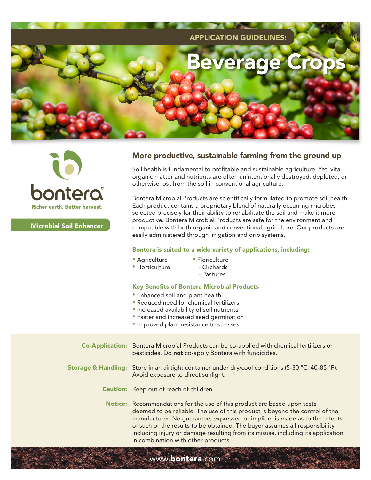



Microbial Soil Enhancer

## More productive, sustainable farming from the ground up

Soil health is fundamental to profitable and sustainable agriculture. Yet, vital organic matter and nutrients are often unintentionally destroyed, depleted, or otherwise lost from the soil in conventional agriculture.

Bontera Microbial Products are scientifically formulated to promote soil health. Each product contains a proprietary blend of naturally occurring microbes selected precisely for their ability to rehabilitate the soil and make it more productive. Bontera Microbial Products are safe for the environment and compatible with both organic and conventional agriculture. Our products are easily administered through irrigation and drip systems.

#### Bontera is suited to a wide variety of applications, including:

- Agriculture
- Floriculture
- Horticulture
- Orchards
	- Pastures

### Key Benefits of Bontera Microbial Products

- Enhanced soil and plant health
- Reduced need for chemical fertilizers
- Increased availability of soil nutrients
- Faster and increased seed germination
- Improved plant resistance to stresses

www.bontera.com

Bontera Microbial Products can be co-applied with chemical fertilizers or pesticides. Do not co-apply Bontera with fungicides. **Storage & Handling:** Store in an airtight container under dry/cool conditions (5-30 °C; 40-85 °F). Avoid exposure to direct sunlight. **Caution:** Keep out of reach of children. **Notice:** Recommendations for the use of this product are based upon tests deemed to be reliable. The use of this product is beyond the control of the manufacturer. No guarantee, expressed or implied, is made as to the effects of such or the results to be obtained. The buyer assumes all responsibility, including injury or damage resulting from its misuse, including its application in combination with other products. Co-Application: